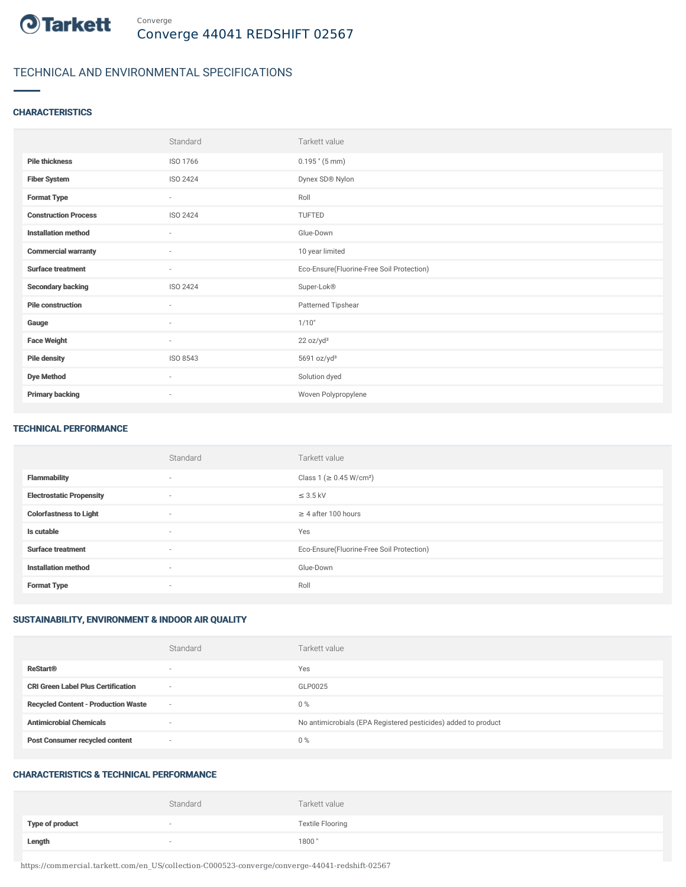

# TECHNICAL AND ENVIRONMENTAL SPECIFICATIONS

## **CHARACTERISTICS**

|                             | Standard                 | Tarkett value                             |
|-----------------------------|--------------------------|-------------------------------------------|
| <b>Pile thickness</b>       | ISO 1766                 | $0.195$ " (5 mm)                          |
| <b>Fiber System</b>         | ISO 2424                 | Dynex SD® Nylon                           |
| <b>Format Type</b>          | $\sim$                   | Roll                                      |
| <b>Construction Process</b> | ISO 2424                 | TUFTED                                    |
| <b>Installation method</b>  | $\sim$                   | Glue-Down                                 |
| <b>Commercial warranty</b>  | $\sim$                   | 10 year limited                           |
| <b>Surface treatment</b>    | $\overline{\phantom{a}}$ | Eco-Ensure(Fluorine-Free Soil Protection) |
| <b>Secondary backing</b>    | ISO 2424                 | Super-Lok®                                |
| <b>Pile construction</b>    | $\sim$                   | Patterned Tipshear                        |
| Gauge                       | $\sim$                   | 1/10"                                     |
| <b>Face Weight</b>          | $\sim$                   | 22 oz/yd <sup>2</sup>                     |
| <b>Pile density</b>         | ISO 8543                 | 5691 oz/yd <sup>3</sup>                   |
| <b>Dye Method</b>           | $\sim$                   | Solution dyed                             |
| <b>Primary backing</b>      | $\overline{\phantom{a}}$ | Woven Polypropylene                       |

#### TECHNICAL PERFORMANCE

|                                 | Standard       | Tarkett value                             |
|---------------------------------|----------------|-------------------------------------------|
| <b>Flammability</b>             | $\overline{a}$ | Class 1 (≥ 0.45 W/cm <sup>2</sup> )       |
| <b>Electrostatic Propensity</b> | $\overline{a}$ | $\leq$ 3.5 kV                             |
| <b>Colorfastness to Light</b>   | $\sim$         | $\geq$ 4 after 100 hours                  |
| Is cutable                      | $\sim$         | Yes                                       |
| <b>Surface treatment</b>        | $\sim$         | Eco-Ensure(Fluorine-Free Soil Protection) |
| <b>Installation method</b>      | $\sim$         | Glue-Down                                 |
| <b>Format Type</b>              | $\sim$         | Roll                                      |

## SUSTAINABILITY, ENVIRONMENT & INDOOR AIR QUALITY

|                                            | Standard                 | Tarkett value                                                  |
|--------------------------------------------|--------------------------|----------------------------------------------------------------|
| <b>ReStart®</b>                            | $\overline{\phantom{a}}$ | Yes                                                            |
| <b>CRI Green Label Plus Certification</b>  | $\overline{\phantom{a}}$ | GLP0025                                                        |
| <b>Recycled Content - Production Waste</b> | $\overline{\phantom{a}}$ | $0\%$                                                          |
| <b>Antimicrobial Chemicals</b>             | -                        | No antimicrobials (EPA Registered pesticides) added to product |
| <b>Post Consumer recycled content</b>      | $\overline{\phantom{a}}$ | $0\%$                                                          |

#### CHARACTERISTICS & TECHNICAL PERFORMANCE

|                        | Standard                 | Tarkett value           |
|------------------------|--------------------------|-------------------------|
| <b>Type of product</b> | $\overline{\phantom{a}}$ | <b>Textile Flooring</b> |
| Length                 |                          | 1800"                   |

https://commercial.tarkett.com/en\_US/collection-C000523-converge/converge-44041-redshift-02567